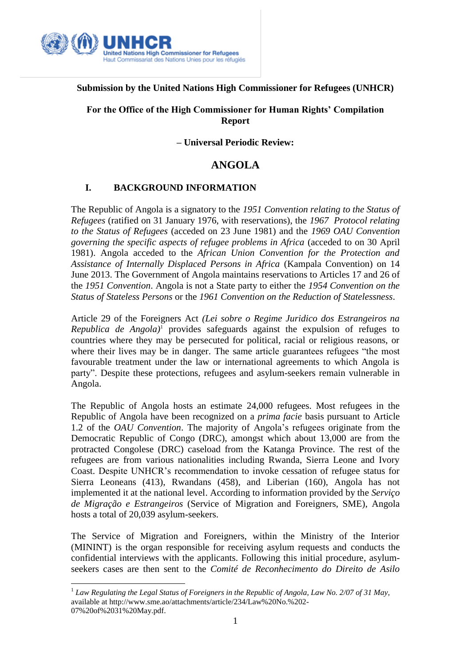

### **Submission by the United Nations High Commissioner for Refugees (UNHCR)**

## **For the Office of the High Commissioner for Human Rights' Compilation Report**

**– Universal Periodic Review:**

# **ANGOLA**

# **I. BACKGROUND INFORMATION**

The Republic of Angola is a signatory to the *1951 Convention relating to the Status of Refugees* (ratified on 31 January 1976, with reservations), the *1967 Protocol relating to the Status of Refugees* (acceded on 23 June 1981) and the *1969 OAU Convention governing the specific aspects of refugee problems in Africa* (acceded to on 30 April 1981). Angola acceded to the *African Union Convention for the Protection and Assistance of Internally Displaced Persons in Africa* (Kampala Convention) on 14 June 2013. The Government of Angola maintains reservations to Articles 17 and 26 of the *1951 Convention*. Angola is not a State party to either the *1954 Convention on the Status of Stateless Persons* or the *1961 Convention on the Reduction of Statelessness*.

Article 29 of the Foreigners Act *(Lei sobre o Regime Juridico dos Estrangeiros na Republica de Angola)*<sup>1</sup> provides safeguards against the expulsion of refuges to countries where they may be persecuted for political, racial or religious reasons, or where their lives may be in danger. The same article guarantees refugees "the most favourable treatment under the law or international agreements to which Angola is party". Despite these protections, refugees and asylum-seekers remain vulnerable in Angola.

The Republic of Angola hosts an estimate 24,000 refugees. Most refugees in the Republic of Angola have been recognized on a *prima facie* basis pursuant to Article 1.2 of the *OAU Convention*. The majority of Angola's refugees originate from the Democratic Republic of Congo (DRC), amongst which about 13,000 are from the protracted Congolese (DRC) caseload from the Katanga Province. The rest of the refugees are from various nationalities including Rwanda, Sierra Leone and Ivory Coast. Despite UNHCR's recommendation to invoke cessation of refugee status for Sierra Leoneans (413), Rwandans (458), and Liberian (160), Angola has not implemented it at the national level. According to information provided by the *Serviço de Migração e Estrangeiros* (Service of Migration and Foreigners, SME), Angola hosts a total of 20,039 asylum-seekers.

The Service of Migration and Foreigners, within the Ministry of the Interior (MININT) is the organ responsible for receiving asylum requests and conducts the confidential interviews with the applicants. Following this initial procedure, asylumseekers cases are then sent to the *Comité de Reconhecimento do Direito de Asilo*

 $\overline{a}$ <sup>1</sup> Law Regulating the Legal Status of Foreigners in the Republic of Angola, Law No. 2/07 of 31 May, available at http://www.sme.ao/attachments/article/234/Law%20No.%202- 07%20of%2031%20May.pdf.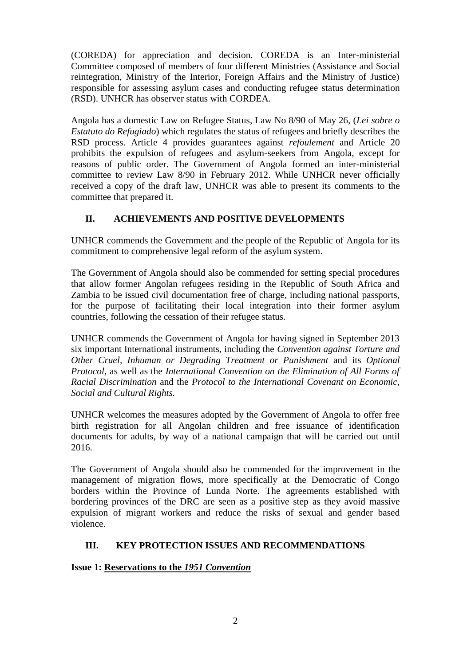(COREDA) for appreciation and decision. COREDA is an Inter-ministerial Committee composed of members of four different Ministries (Assistance and Social reintegration, Ministry of the Interior, Foreign Affairs and the Ministry of Justice) responsible for assessing asylum cases and conducting refugee status determination (RSD). UNHCR has observer status with CORDEA.

Angola has a domestic Law on Refugee Status, Law No 8/90 of May 26, (*Lei sobre o Estatuto do Refugiado*) which regulates the status of refugees and briefly describes the RSD process. Article 4 provides guarantees against *refoulement* and Article 20 prohibits the expulsion of refugees and asylum-seekers from Angola, except for reasons of public order. The Government of Angola formed an inter-ministerial committee to review Law 8/90 in February 2012. While UNHCR never officially received a copy of the draft law, UNHCR was able to present its comments to the committee that prepared it.

# **II. ACHIEVEMENTS AND POSITIVE DEVELOPMENTS**

UNHCR commends the Government and the people of the Republic of Angola for its commitment to comprehensive legal reform of the asylum system.

The Government of Angola should also be commended for setting special procedures that allow former Angolan refugees residing in the Republic of South Africa and Zambia to be issued civil documentation free of charge, including national passports, for the purpose of facilitating their local integration into their former asylum countries, following the cessation of their refugee status.

UNHCR commends the Government of Angola for having signed in September 2013 six important International instruments, including the *Convention against Torture and Other Cruel, Inhuman or Degrading Treatment or Punishment* and its *[Optional](http://treaties.un.org/Pages/ViewDetails.aspx?src=TREATY&mtdsg_no=IV-9-b&chapter=4&lang=en)  [Protocol,](http://treaties.un.org/Pages/ViewDetails.aspx?src=TREATY&mtdsg_no=IV-9-b&chapter=4&lang=en)* as well as the *International Convention on the Elimination of All Forms of Racial Discrimination* and the *Protocol to the International Covenant on Economic, Social and Cultural Rights.*

UNHCR welcomes the measures adopted by the Government of Angola to offer free birth registration for all Angolan children and free issuance of identification documents for adults, by way of a national campaign that will be carried out until 2016.

The Government of Angola should also be commended for the improvement in the management of migration flows, more specifically at the Democratic of Congo borders within the Province of Lunda Norte. The agreements established with bordering provinces of the DRC are seen as a positive step as they avoid massive expulsion of migrant workers and reduce the risks of sexual and gender based violence.

# **III. KEY PROTECTION ISSUES AND RECOMMENDATIONS**

# **Issue 1: Reservations to the** *1951 Convention*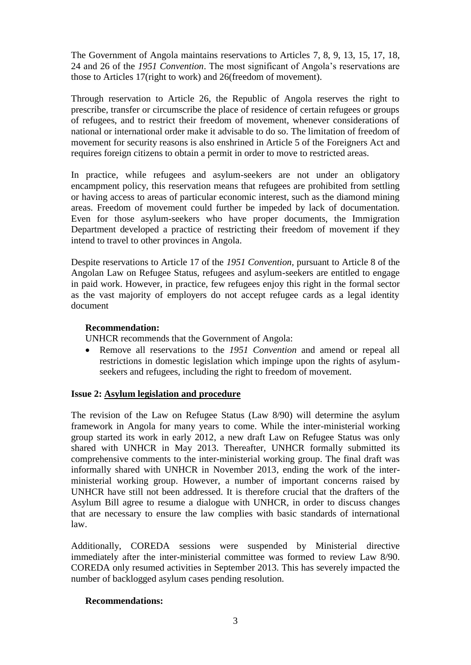The Government of Angola maintains reservations to Articles 7, 8, 9, 13, 15, 17, 18, 24 and 26 of the *1951 Convention*. The most significant of Angola's reservations are those to Articles 17(right to work) and 26(freedom of movement).

Through reservation to Article 26, the Republic of Angola reserves the right to prescribe, transfer or circumscribe the place of residence of certain refugees or groups of refugees, and to restrict their freedom of movement, whenever considerations of national or international order make it advisable to do so. The limitation of freedom of movement for security reasons is also enshrined in Article 5 of the Foreigners Act and requires foreign citizens to obtain a permit in order to move to restricted areas.

In practice, while refugees and asylum-seekers are not under an obligatory encampment policy, this reservation means that refugees are prohibited from settling or having access to areas of particular economic interest, such as the diamond mining areas. Freedom of movement could further be impeded by lack of documentation. Even for those asylum-seekers who have proper documents, the Immigration Department developed a practice of restricting their freedom of movement if they intend to travel to other provinces in Angola.

Despite reservations to Article 17 of the *1951 Convention,* pursuant to Article 8 of the Angolan Law on Refugee Status, refugees and asylum-seekers are entitled to engage in paid work. However, in practice, few refugees enjoy this right in the formal sector as the vast majority of employers do not accept refugee cards as a legal identity document

### **Recommendation:**

UNHCR recommends that the Government of Angola:

 Remove all reservations to the *1951 Convention* and amend or repeal all restrictions in domestic legislation which impinge upon the rights of asylumseekers and refugees, including the right to freedom of movement.

#### **Issue 2: Asylum legislation and procedure**

The revision of the Law on Refugee Status (Law 8/90) will determine the asylum framework in Angola for many years to come. While the inter-ministerial working group started its work in early 2012, a new draft Law on Refugee Status was only shared with UNHCR in May 2013. Thereafter, UNHCR formally submitted its comprehensive comments to the inter-ministerial working group. The final draft was informally shared with UNHCR in November 2013, ending the work of the interministerial working group. However, a number of important concerns raised by UNHCR have still not been addressed. It is therefore crucial that the drafters of the Asylum Bill agree to resume a dialogue with UNHCR, in order to discuss changes that are necessary to ensure the law complies with basic standards of international law.

Additionally, COREDA sessions were suspended by Ministerial directive immediately after the inter-ministerial committee was formed to review Law 8/90. COREDA only resumed activities in September 2013. This has severely impacted the number of backlogged asylum cases pending resolution.

#### **Recommendations:**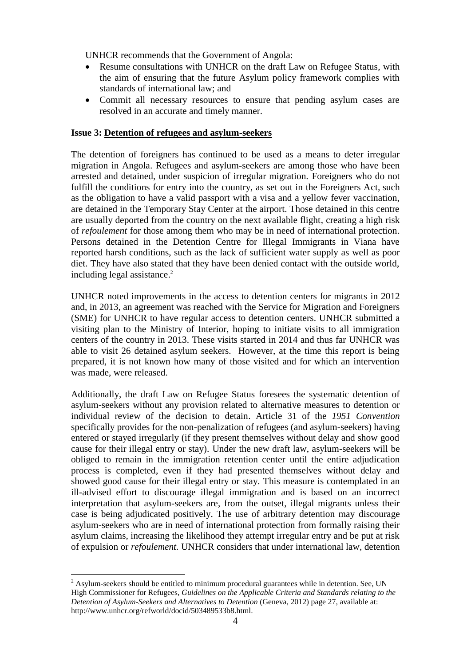UNHCR recommends that the Government of Angola:

- Resume consultations with UNHCR on the draft Law on Refugee Status, with the aim of ensuring that the future Asylum policy framework complies with standards of international law; and
- Commit all necessary resources to ensure that pending asylum cases are resolved in an accurate and timely manner.

#### **Issue 3: Detention of refugees and asylum-seekers**

The detention of foreigners has continued to be used as a means to deter irregular migration in Angola. Refugees and asylum-seekers are among those who have been arrested and detained, under suspicion of irregular migration. Foreigners who do not fulfill the conditions for entry into the country, as set out in the Foreigners Act*,* such as the obligation to have a valid passport with a visa and a yellow fever vaccination, are detained in the Temporary Stay Center at the airport. Those detained in this centre are usually deported from the country on the next available flight, creating a high risk of *refoulement* for those among them who may be in need of international protection. Persons detained in the Detention Centre for Illegal Immigrants in Viana have reported harsh conditions, such as the lack of sufficient water supply as well as poor diet. They have also stated that they have been denied contact with the outside world, including legal assistance. 2

UNHCR noted improvements in the access to detention centers for migrants in 2012 and, in 2013, an agreement was reached with the Service for Migration and Foreigners (SME) for UNHCR to have regular access to detention centers. UNHCR submitted a visiting plan to the Ministry of Interior, hoping to initiate visits to all immigration centers of the country in 2013. These visits started in 2014 and thus far UNHCR was able to visit 26 detained asylum seekers. However, at the time this report is being prepared, it is not known how many of those visited and for which an intervention was made, were released.

Additionally, the draft Law on Refugee Status foresees the systematic detention of asylum-seekers without any provision related to alternative measures to detention or individual review of the decision to detain. Article 31 of the *1951 Convention* specifically provides for the non-penalization of refugees (and asylum-seekers) having entered or stayed irregularly (if they present themselves without delay and show good cause for their illegal entry or stay). Under the new draft law, asylum-seekers will be obliged to remain in the immigration retention center until the entire adjudication process is completed, even if they had presented themselves without delay and showed good cause for their illegal entry or stay. This measure is contemplated in an ill-advised effort to discourage illegal immigration and is based on an incorrect interpretation that asylum-seekers are, from the outset, illegal migrants unless their case is being adjudicated positively. The use of arbitrary detention may discourage asylum-seekers who are in need of international protection from formally raising their asylum claims, increasing the likelihood they attempt irregular entry and be put at risk of expulsion or *refoulement.* UNHCR considers that under international law, detention

 $\overline{a}$ 

 $<sup>2</sup>$  Asylum-seekers should be entitled to minimum procedural guarantees while in detention. See, UN</sup> High Commissioner for Refugees, *Guidelines on the Applicable Criteria and Standards relating to the Detention of Asylum-Seekers and Alternatives to Detention* (Geneva, 2012) page 27, available at: http://www.unhcr.org/refworld/docid/503489533b8.html.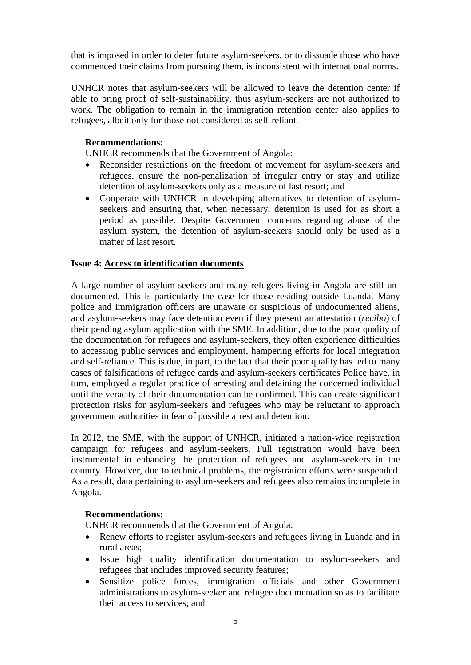that is imposed in order to deter future asylum-seekers, or to dissuade those who have commenced their claims from pursuing them, is inconsistent with international norms.

UNHCR notes that asylum-seekers will be allowed to leave the detention center if able to bring proof of self-sustainability, thus asylum-seekers are not authorized to work. The obligation to remain in the immigration retention center also applies to refugees, albeit only for those not considered as self-reliant.

### **Recommendations:**

UNHCR recommends that the Government of Angola:

- Reconsider restrictions on the freedom of movement for asylum-seekers and refugees, ensure the non-penalization of irregular entry or stay and utilize detention of asylum-seekers only as a measure of last resort; and
- Cooperate with UNHCR in developing alternatives to detention of asylumseekers and ensuring that, when necessary, detention is used for as short a period as possible. Despite Government concerns regarding abuse of the asylum system, the detention of asylum-seekers should only be used as a matter of last resort.

### **Issue 4: Access to identification documents**

A large number of asylum-seekers and many refugees living in Angola are still undocumented. This is particularly the case for those residing outside Luanda. Many police and immigration officers are unaware or suspicious of undocumented aliens, and asylum-seekers may face detention even if they present an attestation (*recibo*) of their pending asylum application with the SME. In addition, due to the poor quality of the documentation for refugees and asylum-seekers, they often experience difficulties to accessing public services and employment, hampering efforts for local integration and self-reliance. This is due, in part, to the fact that their poor quality has led to many cases of falsifications of refugee cards and asylum-seekers certificates Police have, in turn, employed a regular practice of arresting and detaining the concerned individual until the veracity of their documentation can be confirmed. This can create significant protection risks for asylum-seekers and refugees who may be reluctant to approach government authorities in fear of possible arrest and detention.

In 2012, the SME, with the support of UNHCR, initiated a nation-wide registration campaign for refugees and asylum-seekers. Full registration would have been instrumental in enhancing the protection of refugees and asylum-seekers in the country. However, due to technical problems, the registration efforts were suspended. As a result, data pertaining to asylum-seekers and refugees also remains incomplete in Angola.

#### **Recommendations:**

UNHCR recommends that the Government of Angola:

- Renew efforts to register asylum-seekers and refugees living in Luanda and in rural areas;
- Issue high quality identification documentation to asylum-seekers and refugees that includes improved security features;
- Sensitize police forces, immigration officials and other Government administrations to asylum-seeker and refugee documentation so as to facilitate their access to services; and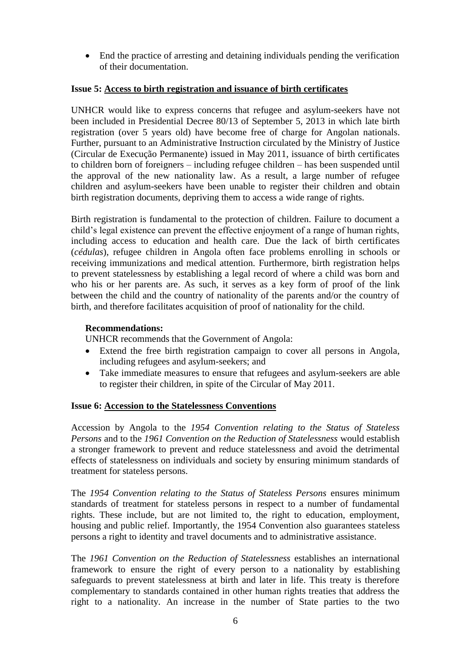End the practice of arresting and detaining individuals pending the verification of their documentation.

## **Issue 5: Access to birth registration and issuance of birth certificates**

UNHCR would like to express concerns that refugee and asylum-seekers have not been included in Presidential Decree 80/13 of September 5, 2013 in which late birth registration (over 5 years old) have become free of charge for Angolan nationals. Further, pursuant to an Administrative Instruction circulated by the Ministry of Justice (Circular de Execução Permanente) issued in May 2011, issuance of birth certificates to children born of foreigners – including refugee children – has been suspended until the approval of the new nationality law. As a result, a large number of refugee children and asylum-seekers have been unable to register their children and obtain birth registration documents, depriving them to access a wide range of rights.

Birth registration is fundamental to the protection of children. Failure to document a child's legal existence can prevent the effective enjoyment of a range of human rights, including access to education and health care. Due the lack of birth certificates (*cédulas*), refugee children in Angola often face problems enrolling in schools or receiving immunizations and medical attention. Furthermore, birth registration helps to prevent statelessness by establishing a legal record of where a child was born and who his or her parents are. As such, it serves as a key form of proof of the link between the child and the country of nationality of the parents and/or the country of birth, and therefore facilitates acquisition of proof of nationality for the child.

### **Recommendations:**

UNHCR recommends that the Government of Angola:

- Extend the free birth registration campaign to cover all persons in Angola, including refugees and asylum-seekers; and
- Take immediate measures to ensure that refugees and asylum-seekers are able to register their children, in spite of the Circular of May 2011.

#### **Issue 6: Accession to the Statelessness Conventions**

Accession by Angola to the *1954 Convention relating to the Status of Stateless Persons* and to the *1961 Convention on the Reduction of Statelessness* would establish a stronger framework to prevent and reduce statelessness and avoid the detrimental effects of statelessness on individuals and society by ensuring minimum standards of treatment for stateless persons.

The *1954 Convention relating to the Status of Stateless Persons* ensures minimum standards of treatment for stateless persons in respect to a number of fundamental rights. These include, but are not limited to, the right to education, employment, housing and public relief. Importantly, the 1954 Convention also guarantees stateless persons a right to identity and travel documents and to administrative assistance.

The *1961 Convention on the Reduction of Statelessness* establishes an international framework to ensure the right of every person to a nationality by establishing safeguards to prevent statelessness at birth and later in life. This treaty is therefore complementary to standards contained in other human rights treaties that address the right to a nationality. An increase in the number of State parties to the two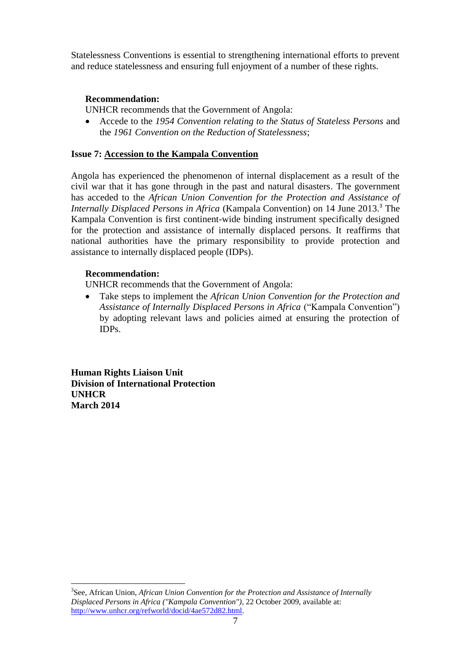Statelessness Conventions is essential to strengthening international efforts to prevent and reduce statelessness and ensuring full enjoyment of a number of these rights.

## **Recommendation:**

UNHCR recommends that the Government of Angola:

 Accede to the *1954 Convention relating to the Status of Stateless Persons* and the *1961 Convention on the Reduction of Statelessness*;

### **Issue 7: Accession to the Kampala Convention**

Angola has experienced the phenomenon of internal displacement as a result of the civil war that it has gone through in the past and natural disasters. The government has acceded to the *African Union Convention for the Protection and Assistance of Internally Displaced Persons in Africa* (Kampala Convention) on 14 June 2013. <sup>3</sup> The Kampala Convention is first continent-wide binding instrument specifically designed for the protection and assistance of internally displaced persons. It reaffirms that national authorities have the primary responsibility to provide protection and assistance to internally displaced people (IDPs).

### **Recommendation:**

UNHCR recommends that the Government of Angola:

 Take steps to implement the *African Union Convention for the Protection and Assistance of Internally Displaced Persons in Africa* ("Kampala Convention") by adopting relevant laws and policies aimed at ensuring the protection of IDPs.

**Human Rights Liaison Unit Division of International Protection UNHCR March 2014**

 $\overline{a}$ 

<sup>3</sup> See, African Union, *African Union Convention for the Protection and Assistance of Internally Displaced Persons in Africa ("Kampala Convention")*, 22 October 2009, available at: [http://www.unhcr.org/refworld/docid/4ae572d82.html.](http://www.unhcr.org/refworld/docid/4ae572d82.html)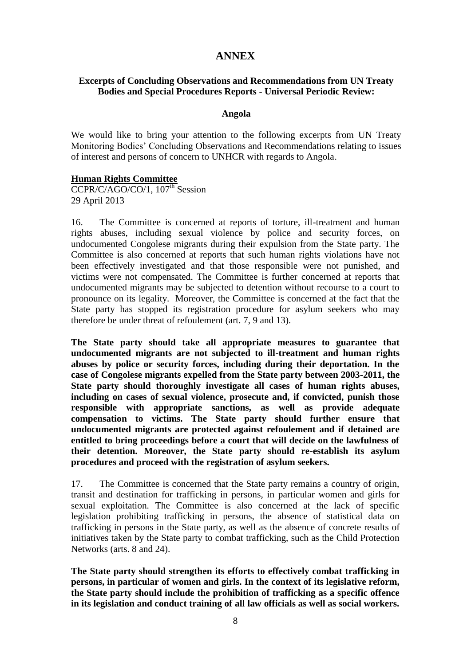# **ANNEX**

### **Excerpts of Concluding Observations and Recommendations from UN Treaty Bodies and Special Procedures Reports - Universal Periodic Review:**

#### **Angola**

We would like to bring your attention to the following excerpts from UN Treaty Monitoring Bodies' Concluding Observations and Recommendations relating to issues of interest and persons of concern to UNHCR with regards to Angola.

#### **Human Rights Committee**

CCPR/C/AGO/CO/1, 107<sup>th</sup> Session 29 April 2013

16. The Committee is concerned at reports of torture, ill-treatment and human rights abuses, including sexual violence by police and security forces, on undocumented Congolese migrants during their expulsion from the State party. The Committee is also concerned at reports that such human rights violations have not been effectively investigated and that those responsible were not punished, and victims were not compensated. The Committee is further concerned at reports that undocumented migrants may be subjected to detention without recourse to a court to pronounce on its legality. Moreover, the Committee is concerned at the fact that the State party has stopped its registration procedure for asylum seekers who may therefore be under threat of refoulement (art. 7, 9 and 13).

**The State party should take all appropriate measures to guarantee that undocumented migrants are not subjected to ill-treatment and human rights abuses by police or security forces, including during their deportation. In the case of Congolese migrants expelled from the State party between 2003-2011, the State party should thoroughly investigate all cases of human rights abuses, including on cases of sexual violence, prosecute and, if convicted, punish those responsible with appropriate sanctions, as well as provide adequate compensation to victims. The State party should further ensure that undocumented migrants are protected against refoulement and if detained are entitled to bring proceedings before a court that will decide on the lawfulness of their detention. Moreover, the State party should re-establish its asylum procedures and proceed with the registration of asylum seekers.** 

17. The Committee is concerned that the State party remains a country of origin, transit and destination for trafficking in persons, in particular women and girls for sexual exploitation. The Committee is also concerned at the lack of specific legislation prohibiting trafficking in persons, the absence of statistical data on trafficking in persons in the State party, as well as the absence of concrete results of initiatives taken by the State party to combat trafficking, such as the Child Protection Networks (arts. 8 and 24).

**The State party should strengthen its efforts to effectively combat trafficking in persons, in particular of women and girls. In the context of its legislative reform, the State party should include the prohibition of trafficking as a specific offence in its legislation and conduct training of all law officials as well as social workers.**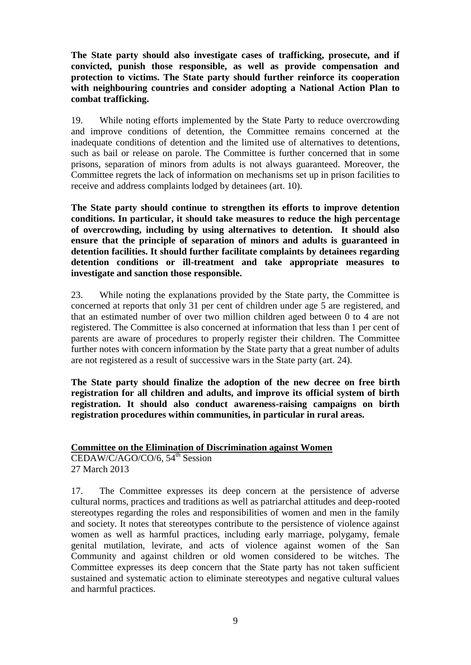**The State party should also investigate cases of trafficking, prosecute, and if convicted, punish those responsible, as well as provide compensation and protection to victims. The State party should further reinforce its cooperation with neighbouring countries and consider adopting a National Action Plan to combat trafficking.** 

19. While noting efforts implemented by the State Party to reduce overcrowding and improve conditions of detention, the Committee remains concerned at the inadequate conditions of detention and the limited use of alternatives to detentions, such as bail or release on parole. The Committee is further concerned that in some prisons, separation of minors from adults is not always guaranteed. Moreover, the Committee regrets the lack of information on mechanisms set up in prison facilities to receive and address complaints lodged by detainees (art. 10).

**The State party should continue to strengthen its efforts to improve detention conditions. In particular, it should take measures to reduce the high percentage of overcrowding, including by using alternatives to detention. It should also ensure that the principle of separation of minors and adults is guaranteed in detention facilities. It should further facilitate complaints by detainees regarding detention conditions or ill-treatment and take appropriate measures to investigate and sanction those responsible.** 

23. While noting the explanations provided by the State party, the Committee is concerned at reports that only 31 per cent of children under age 5 are registered, and that an estimated number of over two million children aged between 0 to 4 are not registered. The Committee is also concerned at information that less than 1 per cent of parents are aware of procedures to properly register their children. The Committee further notes with concern information by the State party that a great number of adults are not registered as a result of successive wars in the State party (art. 24).

**The State party should finalize the adoption of the new decree on free birth registration for all children and adults, and improve its official system of birth registration. It should also conduct awareness-raising campaigns on birth registration procedures within communities, in particular in rural areas.**

**Committee on the Elimination of Discrimination against Women**

CEDAW/C/AGO/CO/6, 54<sup>th</sup> Session 27 March 2013

17. The Committee expresses its deep concern at the persistence of adverse cultural norms, practices and traditions as well as patriarchal attitudes and deep-rooted stereotypes regarding the roles and responsibilities of women and men in the family and society. It notes that stereotypes contribute to the persistence of violence against women as well as harmful practices, including early marriage, polygamy, female genital mutilation, levirate, and acts of violence against women of the San Community and against children or old women considered to be witches. The Committee expresses its deep concern that the State party has not taken sufficient sustained and systematic action to eliminate stereotypes and negative cultural values and harmful practices.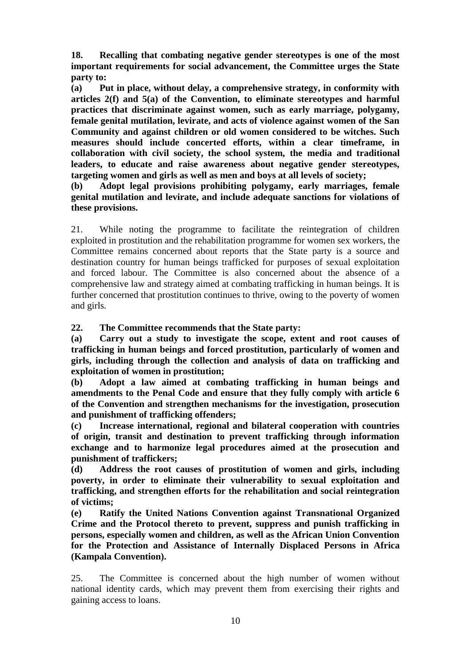**18. Recalling that combating negative gender stereotypes is one of the most important requirements for social advancement, the Committee urges the State party to:**

**(a) Put in place, without delay, a comprehensive strategy, in conformity with articles 2(f) and 5(a) of the Convention, to eliminate stereotypes and harmful practices that discriminate against women, such as early marriage, polygamy, female genital mutilation, levirate, and acts of violence against women of the San Community and against children or old women considered to be witches. Such measures should include concerted efforts, within a clear timeframe, in collaboration with civil society, the school system, the media and traditional leaders, to educate and raise awareness about negative gender stereotypes, targeting women and girls as well as men and boys at all levels of society;** 

**(b) Adopt legal provisions prohibiting polygamy, early marriages, female genital mutilation and levirate, and include adequate sanctions for violations of these provisions.**

21. While noting the programme to facilitate the reintegration of children exploited in prostitution and the rehabilitation programme for women sex workers, the Committee remains concerned about reports that the State party is a source and destination country for human beings trafficked for purposes of sexual exploitation and forced labour. The Committee is also concerned about the absence of a comprehensive law and strategy aimed at combating trafficking in human beings. It is further concerned that prostitution continues to thrive, owing to the poverty of women and girls.

**22. The Committee recommends that the State party:**

**(a) Carry out a study to investigate the scope, extent and root causes of trafficking in human beings and forced prostitution, particularly of women and girls, including through the collection and analysis of data on trafficking and exploitation of women in prostitution;**

**(b) Adopt a law aimed at combating trafficking in human beings and amendments to the Penal Code and ensure that they fully comply with article 6 of the Convention and strengthen mechanisms for the investigation, prosecution and punishment of trafficking offenders;**

**(c) Increase international, regional and bilateral cooperation with countries of origin, transit and destination to prevent trafficking through information exchange and to harmonize legal procedures aimed at the prosecution and punishment of traffickers;** 

**(d) Address the root causes of prostitution of women and girls, including poverty, in order to eliminate their vulnerability to sexual exploitation and trafficking, and strengthen efforts for the rehabilitation and social reintegration of victims;** 

**(e) Ratify the United Nations Convention against Transnational Organized Crime and the Protocol thereto to prevent, suppress and punish trafficking in persons, especially women and children, as well as the African Union Convention for the Protection and Assistance of Internally Displaced Persons in Africa (Kampala Convention).**

25. The Committee is concerned about the high number of women without national identity cards, which may prevent them from exercising their rights and gaining access to loans.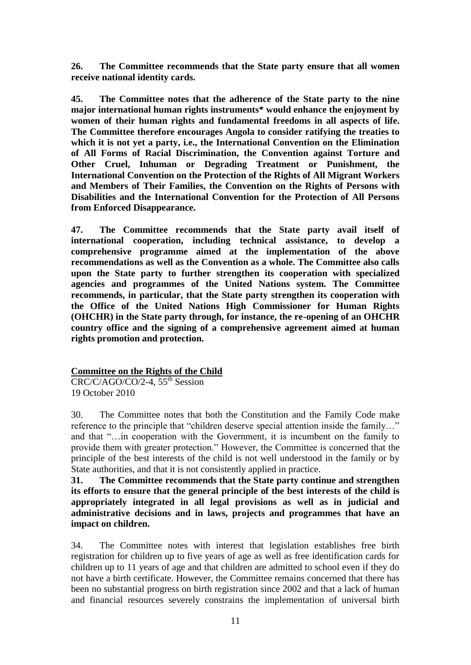**26. The Committee recommends that the State party ensure that all women receive national identity cards.**

**45. The Committee notes that the adherence of the State party to the nine major international human rights instruments\* would enhance the enjoyment by women of their human rights and fundamental freedoms in all aspects of life. The Committee therefore encourages Angola to consider ratifying the treaties to which it is not yet a party, i.e., the International Convention on the Elimination of All Forms of Racial Discrimination, the Convention against Torture and Other Cruel, Inhuman or Degrading Treatment or Punishment, the International Convention on the Protection of the Rights of All Migrant Workers and Members of Their Families, the Convention on the Rights of Persons with Disabilities and the International Convention for the Protection of All Persons from Enforced Disappearance.**

**47. The Committee recommends that the State party avail itself of international cooperation, including technical assistance, to develop a comprehensive programme aimed at the implementation of the above recommendations as well as the Convention as a whole. The Committee also calls upon the State party to further strengthen its cooperation with specialized agencies and programmes of the United Nations system. The Committee recommends, in particular, that the State party strengthen its cooperation with the Office of the United Nations High Commissioner for Human Rights (OHCHR) in the State party through, for instance, the re-opening of an OHCHR country office and the signing of a comprehensive agreement aimed at human rights promotion and protection.**

# **Committee on the Rights of the Child**

 $CRC/C/AGO/CO/2-4$ ,  $55<sup>th</sup>$  Session 19 October 2010

30. The Committee notes that both the Constitution and the Family Code make reference to the principle that "children deserve special attention inside the family…" and that "…in cooperation with the Government, it is incumbent on the family to provide them with greater protection." However, the Committee is concerned that the principle of the best interests of the child is not well understood in the family or by State authorities, and that it is not consistently applied in practice.

**31. The Committee recommends that the State party continue and strengthen its efforts to ensure that the general principle of the best interests of the child is appropriately integrated in all legal provisions as well as in judicial and administrative decisions and in laws, projects and programmes that have an impact on children.**

34. The Committee notes with interest that legislation establishes free birth registration for children up to five years of age as well as free identification cards for children up to 11 years of age and that children are admitted to school even if they do not have a birth certificate. However, the Committee remains concerned that there has been no substantial progress on birth registration since 2002 and that a lack of human and financial resources severely constrains the implementation of universal birth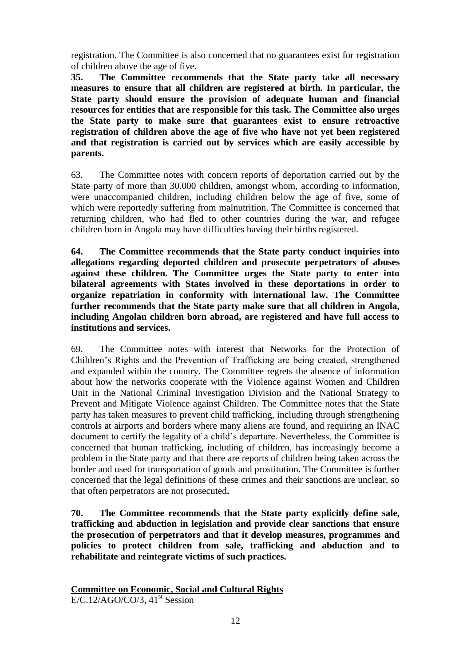registration. The Committee is also concerned that no guarantees exist for registration of children above the age of five.

**35. The Committee recommends that the State party take all necessary measures to ensure that all children are registered at birth. In particular, the State party should ensure the provision of adequate human and financial resources for entities that are responsible for this task. The Committee also urges the State party to make sure that guarantees exist to ensure retroactive registration of children above the age of five who have not yet been registered and that registration is carried out by services which are easily accessible by parents.**

63. The Committee notes with concern reports of deportation carried out by the State party of more than 30.000 children, amongst whom, according to information, were unaccompanied children, including children below the age of five, some of which were reportedly suffering from malnutrition. The Committee is concerned that returning children, who had fled to other countries during the war, and refugee children born in Angola may have difficulties having their births registered.

**64. The Committee recommends that the State party conduct inquiries into allegations regarding deported children and prosecute perpetrators of abuses against these children. The Committee urges the State party to enter into bilateral agreements with States involved in these deportations in order to organize repatriation in conformity with international law. The Committee further recommends that the State party make sure that all children in Angola, including Angolan children born abroad, are registered and have full access to institutions and services.**

69. The Committee notes with interest that Networks for the Protection of Children's Rights and the Prevention of Trafficking are being created, strengthened and expanded within the country. The Committee regrets the absence of information about how the networks cooperate with the Violence against Women and Children Unit in the National Criminal Investigation Division and the National Strategy to Prevent and Mitigate Violence against Children. The Committee notes that the State party has taken measures to prevent child trafficking, including through strengthening controls at airports and borders where many aliens are found, and requiring an INAC document to certify the legality of a child's departure. Nevertheless, the Committee is concerned that human trafficking, including of children, has increasingly become a problem in the State party and that there are reports of children being taken across the border and used for transportation of goods and prostitution. The Committee is further concerned that the legal definitions of these crimes and their sanctions are unclear, so that often perpetrators are not prosecuted**.**

**70. The Committee recommends that the State party explicitly define sale, trafficking and abduction in legislation and provide clear sanctions that ensure the prosecution of perpetrators and that it develop measures, programmes and policies to protect children from sale, trafficking and abduction and to rehabilitate and reintegrate victims of such practices.**

# **Committee on Economic, Social and Cultural Rights**   $E/C.12/AGO/CO/3$ ,  $41<sup>st</sup> Session$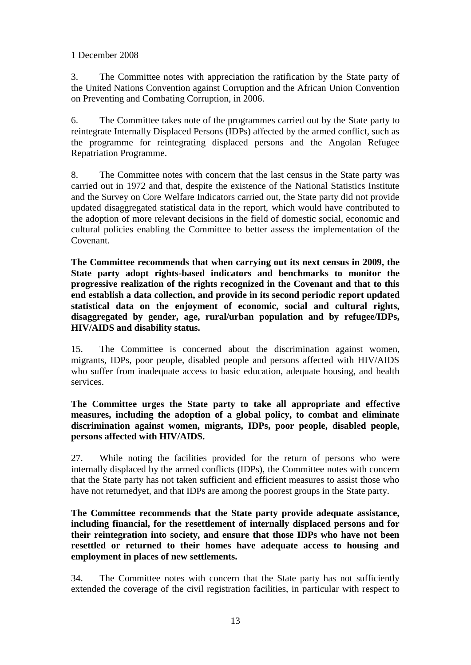# 1 December 2008

3. The Committee notes with appreciation the ratification by the State party of the United Nations Convention against Corruption and the African Union Convention on Preventing and Combating Corruption, in 2006.

6. The Committee takes note of the programmes carried out by the State party to reintegrate Internally Displaced Persons (IDPs) affected by the armed conflict, such as the programme for reintegrating displaced persons and the Angolan Refugee Repatriation Programme.

8. The Committee notes with concern that the last census in the State party was carried out in 1972 and that, despite the existence of the National Statistics Institute and the Survey on Core Welfare Indicators carried out, the State party did not provide updated disaggregated statistical data in the report, which would have contributed to the adoption of more relevant decisions in the field of domestic social, economic and cultural policies enabling the Committee to better assess the implementation of the Covenant.

**The Committee recommends that when carrying out its next census in 2009, the State party adopt rights-based indicators and benchmarks to monitor the progressive realization of the rights recognized in the Covenant and that to this end establish a data collection, and provide in its second periodic report updated statistical data on the enjoyment of economic, social and cultural rights, disaggregated by gender, age, rural/urban population and by refugee/IDPs, HIV/AIDS and disability status.**

15. The Committee is concerned about the discrimination against women, migrants, IDPs, poor people, disabled people and persons affected with HIV/AIDS who suffer from inadequate access to basic education, adequate housing, and health services.

**The Committee urges the State party to take all appropriate and effective measures, including the adoption of a global policy, to combat and eliminate discrimination against women, migrants, IDPs, poor people, disabled people, persons affected with HIV/AIDS.**

27. While noting the facilities provided for the return of persons who were internally displaced by the armed conflicts (IDPs), the Committee notes with concern that the State party has not taken sufficient and efficient measures to assist those who have not returnedyet, and that IDPs are among the poorest groups in the State party.

**The Committee recommends that the State party provide adequate assistance, including financial, for the resettlement of internally displaced persons and for their reintegration into society, and ensure that those IDPs who have not been resettled or returned to their homes have adequate access to housing and employment in places of new settlements.**

34. The Committee notes with concern that the State party has not sufficiently extended the coverage of the civil registration facilities, in particular with respect to